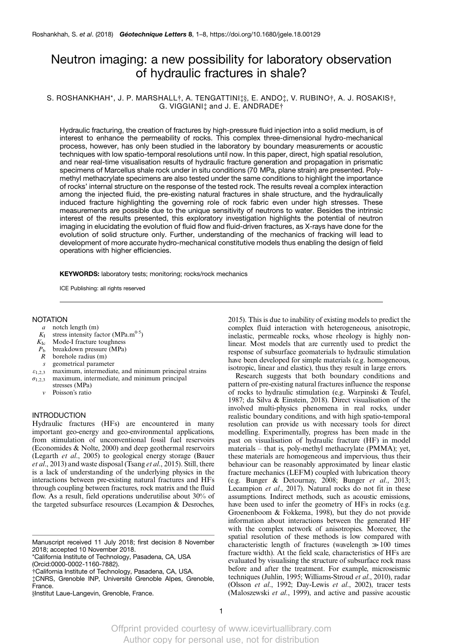# Neutron imaging: a new possibility for laboratory observation of hydraulic fractures in shale?

# S. ROSHANKHAH\*, J. P. MARSHALL $\dagger$ , A. TENGATTINI $\ddagger$ §, E. ANDO $\ddagger$ , V. RUBINO $\dagger$ , A. J. ROSAKIS $\dagger$ , G. VIGGIANI‡ and J. E. ANDRADE†

Hydraulic fracturing, the creation of fractures by high-pressure fluid injection into a solid medium, is of interest to enhance the permeability of rocks. This complex three-dimensional hydro-mechanical process, however, has only been studied in the laboratory by boundary measurements or acoustic techniques with low spatio-temporal resolutions until now. In this paper, direct, high spatial resolution, and near real-time visualisation results of hydraulic fracture generation and propagation in prismatic specimens of Marcellus shale rock under in situ conditions (70 MPa, plane strain) are presented. Polymethyl methacrylate specimens are also tested under the same conditions to highlight the importance of rocks' internal structure on the response of the tested rock. The results reveal a complex interaction among the injected fluid, the pre-existing natural fractures in shale structure, and the hydraulically induced fracture highlighting the governing role of rock fabric even under high stresses. These measurements are possible due to the unique sensitivity of neutrons to water. Besides the intrinsic interest of the results presented, this exploratory investigation highlights the potential of neutron imaging in elucidating the evolution of fluid flow and fluid-driven fractures, as X-rays have done for the evolution of solid structure only. Further, understanding of the mechanics of fracking will lead to development of more accurate hydro-mechanical constitutive models thus enabling the design of field operations with higher efficiencies.

KEYWORDS: laboratory tests; monitoring; rocks/rock mechanics

ICE Publishing: all rights reserved

# NOTATION

- a notch length (m)
- $K_I$  stress intensity factor (MPa.m<sup>0-5</sup>)<br> $K_{Ic}$  Mode-I fracture toughness
- $K_{\text{Ic}}$  Mode-I fracture toughness<br> $P_{\text{h}}$  breakdown pressure (MPa)
- $P_b$  breakdown pressure (MPa)<br>  $R$  borehole radius (m)
- borehole radius (m)
- s geometrical parameter
- $\varepsilon_{1,2,3}$  maximum, intermediate, and minimum principal strains  $\sigma_{1,2,3}$  maximum, intermediate, and minimum principal
- stresses (MPa)
	- ν Poisson's ratio

# INTRODUCTION

Hydraulic fractures (HFs) are encountered in many important geo-energy and geo-environmental applications, from stimulation of unconventional fossil fuel reservoirs [\(Economides & Nolte, 2000\)](#page-6-0) and deep geothermal reservoirs [\(Legarth](#page-6-0) et al., 2005) to geological energy storage [\(Bauer](#page-6-0) et al[., 2013\)](#page-6-0) and waste disposal (Tsang et al[., 2015](#page-7-0)). Still, there is a lack of understanding of the underlying physics in the interactions between pre-existing natural fractures and HFs through coupling between fractures, rock matrix and the fluid flow. As a result, field operations underutilise about 30% of the targeted subsurface resources [\(Lecampion & Desroches,](#page-6-0)

Manuscript received 11 July 2018; first decision 8 November 2018; accepted 10 November 2018.

\*California Institute of Technology, Pasadena, CA, US[A](http://orcid.org/0000-0002-1160-7882) [\(Orcid:0000-0002-1160-7882\).](http://orcid.org/0000-0002-1160-7882)

{California Institute of Technology, Pasadena, CA, USA.

{CNRS, Grenoble INP, Université Grenoble Alpes, Grenoble, France.

§Institut Laue-Langevin, Grenoble, France.

[2015\)](#page-6-0). This is due to inability of existing models to predict the complex fluid interaction with heterogeneous, anisotropic, inelastic, permeable rocks, whose rheology is highly nonlinear. Most models that are currently used to predict the response of subsurface geomaterials to hydraulic stimulation have been developed for simple materials (e.g. homogeneous, isotropic, linear and elastic), thus they result in large errors.

Research suggests that both boundary conditions and pattern of pre-existing natural fractures influence the response of rocks to hydraulic stimulation (e.g. [Warpinski & Teufel,](#page-7-0) [1987;](#page-7-0) [da Silva & Einstein, 2018](#page-6-0)). Direct visualisation of the involved multi-physics phenomena in real rocks, under realistic boundary conditions, and with high spatio-temporal resolution can provide us with necessary tools for direct modelling. Experimentally, progress has been made in the past on visualisation of hydraulic fracture (HF) in model materials – that is, poly-methyl methacrylate (PMMA); yet, these materials are homogeneous and impervious, thus their behaviour can be reasonably approximated by linear elastic fracture mechanics (LEFM) coupled with lubrication theory (e.g. Bunger & Detournay,  $2008$ ; Bunger *et al.*, 2013; [Lecampion](#page-6-0) et al., 2017). Natural rocks do not fit in these assumptions. Indirect methods, such as acoustic emissions, have been used to infer the geometry of HFs in rocks (e.g. [Groenenboom & Fokkema, 1998\)](#page-6-0), but they do not provide information about interactions between the generated HF with the complex network of anisotropies. Moreover, the spatial resolution of these methods is low compared with characteristic length of fractures (wavelength  $\gg 100$  times fracture width). At the field scale, characteristics of HFs are evaluated by visualising the structure of subsurface rock mass before and after the treatment. For example, microseismic techniques ([Juhlin, 1995](#page-6-0); [Williams-Stroud](#page-7-0) et al., 2010), radar (Olsson et al[., 1992;](#page-7-0) [Day-Lewis](#page-6-0) et al., 2002), tracer tests [\(Maloszewski](#page-7-0) et al., 1999), and active and passive acoustic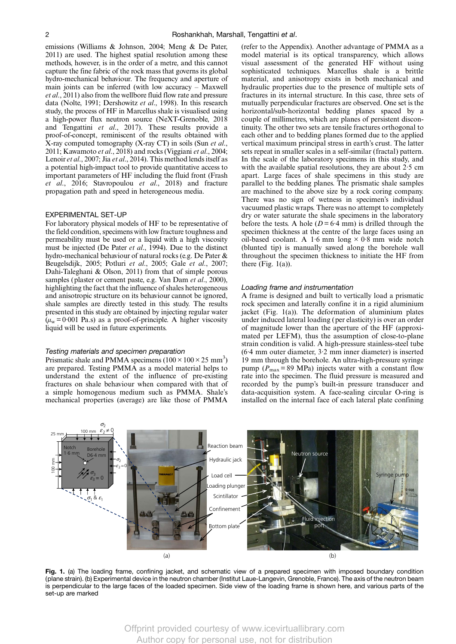<span id="page-1-0"></span>emissions [\(Williams & Johnson, 2004; Meng & De Pater,](#page-7-0) [2011\)](#page-7-0) are used. The highest spatial resolution among these methods, however, is in the order of a metre, and this cannot capture the fine fabric of the rock mass that governs its global hydro-mechanical behaviour. The frequency and aperture of main joints can be inferred (with low accuracy – [Maxwell](#page-7-0) et al[., 2011](#page-7-0)) also from the wellbore fluid flow rate and pressure data ([Nolte, 1991;](#page-7-0) [Dershowitz](#page-6-0) et al., 1998). In this research study, the process of HF in Marcellus shale is visualised using a high-power flux neutron source ([NeXT-Grenoble, 2018](#page-7-0) and [Tengattini](#page-7-0) et al., 2017). These results provide a proof-of-concept, reminiscent of the results obtained with X-ray computed tomography (X-ray CT) in soils (Sun [et al](#page-7-0)., [2011;](#page-7-0) [Kawamoto](#page-6-0) et al., 2018) and rocks ([Viggiani](#page-7-0) et al., 2004; [Lenoir](#page-7-0) et al., 2007; Jia et al[., 2014](#page-6-0)). This method lends itself as a potential high-impact tool to provide quantitative access to important parameters of HF including the fluid front ([Frash](#page-6-0)  $et \hat{a}l$ , 2016; [Stavropoulou](#page-7-0)  $et \hat{a}l$ , 2018) and fracture propagation path and speed in heterogeneous media.

#### EXPERIMENTAL SET-UP

For laboratory physical models of HF to be representative of the field condition, specimens with low fracture toughness and permeability must be used or a liquid with a high viscosity must be injected [\(De Pater](#page-6-0) et al., 1994). Due to the distinct hydro-mechanical behaviour of natural rocks (e.g. [De Pater &](#page-6-0) [Beugelsdijk, 2005](#page-6-0); Potluri et al[., 2005](#page-7-0); Gale et al[., 2007;](#page-6-0) [Dahi-Taleghani & Olson, 2011\)](#page-6-0) from that of simple porous samples (plaster or cement paste, e.g. [Van Dam](#page-7-0) et al., 2000), highlighting the fact that the influence of shales heterogeneous and anisotropic structure on its behaviour cannot be ignored, shale samples are directly tested in this study. The results presented in this study are obtained by injecting regular water  $(\mu_w = 0.001 \text{ Pa.s})$  as a proof-of-principle. A higher viscosity liquid will be used in future experiments.

#### Testing materials and specimen preparation

Prismatic shale and PMMA specimens  $(100 \times 100 \times 25 \text{ mm}^3)$ are prepared. Testing PMMA as a model material helps to understand the extent of the influence of pre-existing fractures on shale behaviour when compared with that of a simple homogenous medium such as PMMA. Shale's mechanical properties (average) are like those of PMMA

(refer to the Appendix). Another advantage of PMMA as a model material is its optical transparency, which allows visual assessment of the generated HF without using sophisticated techniques. Marcellus shale is a brittle material, and anisotropy exists in both mechanical and hydraulic properties due to the presence of multiple sets of fractures in its internal structure. In this case, three sets of mutually perpendicular fractures are observed. One set is the horizontal/sub-horizontal bedding planes spaced by a couple of millimetres, which are planes of persistent discontinuity. The other two sets are tensile fractures orthogonal to each other and to bedding planes formed due to the applied vertical maximum principal stress in earth's crust. The latter sets repeat in smaller scales in a self-similar (fractal) pattern. In the scale of the laboratory specimens in this study, and with the available spatial resolutions, they are about  $2.5 \text{ cm}$ apart. Large faces of shale specimens in this study are parallel to the bedding planes. The prismatic shale samples are machined to the above size by a rock coring company. There was no sign of wetness in specimen's individual vacuumed plastic wraps. There was no attempt to completely dry or water saturate the shale specimens in the laboratory before the tests. A hole ( $D = 6.4$  mm) is drilled through the specimen thickness at the centre of the large faces using an oil-based coolant. A 1.6 mm long  $\times$  0.8 mm wide notch (blunted tip) is manually sawed along the borehole wall throughout the specimen thickness to initiate the HF from there (Fig.  $1(a)$ ).

# Loading frame and instrumentation

A frame is designed and built to vertically load a prismatic rock specimen and laterally confine it in a rigid aluminium jacket (Fig. 1(a)). The deformation of aluminium plates under induced lateral loading (per elasticity) is over an order of magnitude lower than the aperture of the HF (approximated per LEFM), thus the assumption of close-to-plane strain condition is valid. A high-pressure stainless-steel tube (6·4 mm outer diameter, 3·2 mm inner diameter) is inserted 19 mm through the borehole. An ultra-high-pressure syringe pump ( $P_{\text{max}}$  = 89 MPa) injects water with a constant flow rate into the specimen. The fluid pressure is measured and recorded by the pump's built-in pressure transducer and data-acquisition system. A face-sealing circular O-ring is installed on the internal face of each lateral plate confining



Fig. 1. (a) The loading frame, confining jacket, and schematic view of a prepared specimen with imposed boundary condition (plane strain). (b) Experimental device in the neutron chamber (Institut Laue-Langevin, Grenoble, France). The axis of the neutron beam is perpendicular to the large faces of the loaded specimen. Side view of the loading frame is shown here, and various parts of the set-up are marked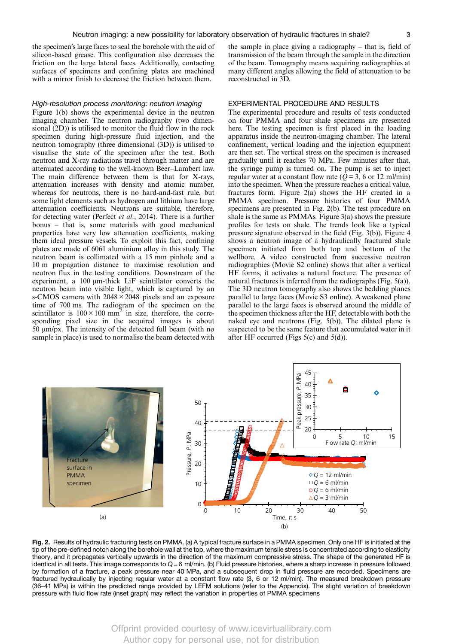the specimen's large faces to seal the borehole with the aid of silicon-based grease. This configuration also decreases the friction on the large lateral faces. Additionally, contacting surfaces of specimens and confining plates are machined with a mirror finish to decrease the friction between them.

the sample in place giving a radiography – that is, field of transmission of the beam through the sample in the direction of the beam. Tomography means acquiring radiographies at many different angles allowing the field of attenuation to be reconstructed in 3D.

# High-resolution process monitoring: neutron imaging

[Figure 1\(b\)](#page-1-0) shows the experimental device in the neutron imaging chamber. The neutron radiography (two dimensional (2D)) is utilised to monitor the fluid flow in the rock specimen during high-pressure fluid injection, and the neutron tomography (three dimensional (3D)) is utilised to visualise the state of the specimen after the test. Both neutron and X-ray radiations travel through matter and are attenuated according to the well-known Beer–Lambert law. The main difference between them is that for X-rays, attenuation increases with density and atomic number, whereas for neutrons, there is no hard-and-fast rule, but some light elements such as hydrogen and lithium have large attenuation coefficients. Neutrons are suitable, therefore, for detecting water [\(Perfect](#page-7-0) et al., 2014). There is a further bonus – that is, some materials with good mechanical properties have very low attenuation coefficients, making them ideal pressure vessels. To exploit this fact, confining plates are made of 6061 aluminium alloy in this study. The neutron beam is collimated with a 15 mm pinhole and a 10 m propagation distance to maximise resolution and neutron flux in the testing conditions. Downstream of the experiment, a 100 μm-thick LiF scintillator converts the neutron beam into visible light, which is captured by an s-CMOS camera with  $2048 \times 2048$  pixels and an exposure time of 700 ms. The radiogram of the specimen on the scintillator is  $100 \times 100$  mm<sup>2</sup> in size, therefore, the corresponding pixel size in the acquired images is about 50 μm/px. The intensity of the detected full beam (with no sample in place) is used to normalise the beam detected with

# EXPERIMENTAL PROCEDURE AND RESULTS

The experimental procedure and results of tests conducted on four PMMA and four shale specimens are presented here. The testing specimen is first placed in the loading apparatus inside the neutron-imaging chamber. The lateral confinement, vertical loading and the injection equipment are then set. The vertical stress on the specimen is increased gradually until it reaches 70 MPa. Few minutes after that, the syringe pump is turned on. The pump is set to inject regular water at a constant flow rate ( $\overline{Q}$  = 3, 6 or 12 ml/min) into the specimen. When the pressure reaches a critical value, fractures form. Figure 2(a) shows the HF created in a PMMA specimen. Pressure histories of four PMMA specimens are presented in Fig. 2(b). The test procedure on shale is the same as PMMAs. [Figure 3\(a\)](#page-3-0) shows the pressure profiles for tests on shale. The trends look like a typical pressure signature observed in the field ([Fig. 3\(b\)\)](#page-3-0). [Figure 4](#page-3-0) shows a neutron image of a hydraulically fractured shale specimen initiated from both top and bottom of the wellbore. A video constructed from successive neutron radiographies (Movie S2 online) shows that after a vertical HF forms, it activates a natural fracture. The presence of natural fractures is inferred from the radiographs  $(Fig. 5(a))$  $(Fig. 5(a))$ . The 3D neutron tomography also shows the bedding planes parallel to large faces (Movie S3 online). A weakened plane parallel to the large faces is observed around the middle of the specimen thickness after the HF, detectable with both the naked eye and neutrons [\(Fig. 5\(b\)\)](#page-4-0). The dilated plane is suspected to be the same feature that accumulated water in it after HF occurred [\(Figs 5\(c\)](#page-4-0) and [5\(d\)](#page-4-0)).



**Fig. 2.** Results of hydraulic fracturing tests on PMMA. (a) A typical fracture surface in a PMMA specimen. Only one HF is initiated at the<br>tip of the pre-defined notch along the borehole wall at the top, where the maximum theory, and it propagates vertically upwards in the direction of the maximum compressive stress. The shape of the generated HF is identical in all tests. This image corresponds to  $Q = 6$  ml/min. (b) Fluid pressure histories, where a sharp increase in pressure followed by formation of a fracture, a peak pressure near 40 MPa, and a subsequent drop in fluid pressure are recorded. Specimens are fractured hydraulically by injecting regular water at a constant flow rate (3, 6 or 12 ml/min). The measured breakdown pressure (36–41 MPa) is within the predicted range provided by LEFM solutions (refer to the Appendix). The slight variation of breakdown pressure with fluid flow rate (inset graph) may reflect the variation in properties of PMMA specimens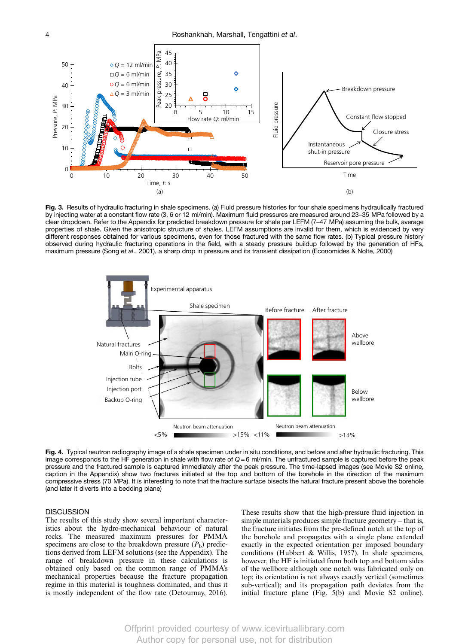<span id="page-3-0"></span>

Fig. 3. Results of hydraulic fracturing in shale specimens. (a) Fluid pressure histories for four shale specimens hydraulically fractured by injecting water at a constant flow rate (3, 6 or 12 ml/min). Maximum fluid pressures are measured around 23–35 MPa followed by a clear dropdown. Refer to the Appendix for predicted breakdown pressure for shale per LEFM (7–47 MPa) assuming the bulk, average properties of shale. Given the anisotropic structure of shales, LEFM assumptions are invalid for them, which is evidenced by very different responses obtained for various specimens, even for those fractured with the same flow rates. (b) Typical pressure history observed during hydraulic fracturing operations in the field, with a steady pressure buildup followed by the generation of HFs, maximum pressure (Song et al[., 2001](#page-7-0)), a sharp drop in pressure and its transient dissipation ([Economides & Nolte, 2000](#page-6-0))



Fig. 4. Typical neutron radiography image of a shale specimen under in situ conditions, and before and after hydraulic fracturing. This image corresponds to the HF generation in shale with flow rate of  $Q = 6$  ml/min. The unfractured sample is captured before the peak pressure and the fractured sample is captured immediately after the peak pressure. The time-lapsed images (see Movie S2 online, caption in the Appendix) show two fractures initiated at the top and bottom of the borehole in the direction of the maximum compressive stress (70 MPa). It is interesting to note that the fracture surface bisects the natural fracture present above the borehole (and later it diverts into a bedding plane)

# **DISCUSSION**

The results of this study show several important characteristics about the hydro-mechanical behaviour of natural rocks. The measured maximum pressures for PMMA specimens are close to the breakdown pressure  $(P_b)$  predictions derived from LEFM solutions (see the Appendix). The range of breakdown pressure in these calculations is obtained only based on the common range of PMMA's mechanical properties because the fracture propagation regime in this material is toughness dominated, and thus it is mostly independent of the flow rate ([Detournay, 2016\)](#page-6-0). These results show that the high-pressure fluid injection in simple materials produces simple fracture geometry – that is, the fracture initiates from the pre-defined notch at the top of the borehole and propagates with a single plane extended exactly in the expected orientation per imposed boundary conditions [\(Hubbert & Willis, 1957\)](#page-6-0). In shale specimens, however, the HF is initiated from both top and bottom sides of the wellbore although one notch was fabricated only on top; its orientation is not always exactly vertical (sometimes sub-vertical); and its propagation path deviates from the initial fracture plane [\(Fig. 5\(b\)](#page-4-0) and Movie S2 online).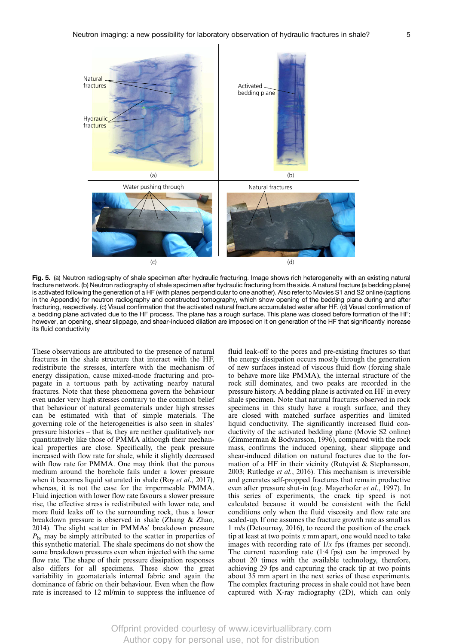<span id="page-4-0"></span>

Fig. 5. (a) Neutron radiography of shale specimen after hydraulic fracturing. Image shows rich heterogeneity with an existing natural fracture network. (b) Neutron radiography of shale specimen after hydraulic fracturing from the side. A natural fracture (a bedding plane) is activated following the generation of a HF (with planes perpendicular to one another). Also refer to Movies S1 and S2 online (captions in the Appendix) for neutron radiography and constructed tomography, which show opening of the bedding plane during and after fracturing, respectively. (c) Visual confirmation that the activated natural fracture accumulated water after HF. (d) Visual confirmation of a bedding plane activated due to the HF process. The plane has a rough surface. This plane was closed before formation of the HF; however, an opening, shear slippage, and shear-induced dilation are imposed on it on generation of the HF that significantly increase its fluid conductivity

These observations are attributed to the presence of natural fractures in the shale structure that interact with the HF, redistribute the stresses, interfere with the mechanism of energy dissipation, cause mixed-mode fracturing and propagate in a tortuous path by activating nearby natural fractures. Note that these phenomena govern the behaviour even under very high stresses contrary to the common belief that behaviour of natural geomaterials under high stresses can be estimated with that of simple materials. The governing role of the heterogeneities is also seen in shales' pressure histories – that is, they are neither qualitatively nor quantitatively like those of PMMA although their mechanical properties are close. Specifically, the peak pressure increased with flow rate for shale, while it slightly decreased with flow rate for PMMA. One may think that the porous medium around the borehole fails under a lower pressure when it becomes liquid saturated in shale (Roy et al[., 2017](#page-7-0)), whereas, it is not the case for the impermeable PMMA. Fluid injection with lower flow rate favours a slower pressure rise, the effective stress is redistributed with lower rate, and more fluid leaks off to the surrounding rock, thus a lower breakdown pressure is observed in shale ([Zhang & Zhao,](#page-7-0) [2014](#page-7-0)). The slight scatter in PMMAs' breakdown pressure  $P_{\rm b}$ , may be simply attributed to the scatter in properties of this synthetic material. The shale specimens do not show the same breakdown pressures even when injected with the same flow rate. The shape of their pressure dissipation responses also differs for all specimens. These show the great variability in geomaterials internal fabric and again the dominance of fabric on their behaviour. Even when the flow rate is increased to 12 ml/min to suppress the influence of fluid leak-off to the pores and pre-existing fractures so that the energy dissipation occurs mostly through the generation of new surfaces instead of viscous fluid flow (forcing shale to behave more like PMMA), the internal structure of the rock still dominates, and two peaks are recorded in the pressure history. A bedding plane is activated on HF in every shale specimen. Note that natural fractures observed in rock specimens in this study have a rough surface, and they are closed with matched surface asperities and limited liquid conductivity. The significantly increased fluid conductivity of the activated bedding plane (Movie S2 online) [\(Zimmerman & Bodvarsson, 1996](#page-7-0)), compared with the rock mass, confirms the induced opening, shear slippage and shear-induced dilation on natural fractures due to the formation of a HF in their vicinity ([Rutqvist & Stephansson,](#page-7-0) [2003; Rutledge](#page-7-0) et al., 2016). This mechanism is irreversible and generates self-propped fractures that remain productive even after pressure shut-in (e.g. [Mayerhofer](#page-7-0) et al., 1997). In this series of experiments, the crack tip speed is not calculated because it would be consistent with the field conditions only when the fluid viscosity and flow rate are scaled-up. If one assumes the fracture growth rate as small as 1 m/s ([Detournay, 2016\)](#page-6-0), to record the position of the crack tip at least at two points  $x$  mm apart, one would need to take images with recording rate of  $1/x$  fps (frames per second). The current recording rate  $(1.4 \text{ fps})$  can be improved by about 20 times with the available technology, therefore, achieving 29 fps and capturing the crack tip at two points about 35 mm apart in the next series of these experiments. The complex fracturing process in shale could not have been captured with X-ray radiography (2D), which can only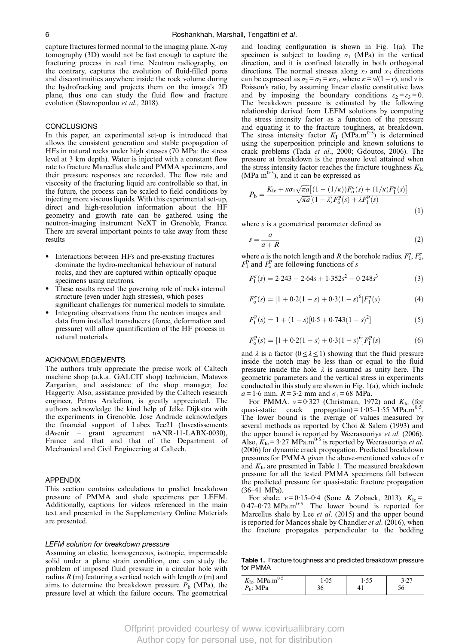<span id="page-5-0"></span>capture fractures formed normal to the imaging plane. X-ray tomography (3D) would not be fast enough to capture the fracturing process in real time. Neutron radiography, on the contrary, captures the evolution of fluid-filled pores and discontinuities anywhere inside the rock volume during the hydrofracking and projects them on the image's 2D plane, thus one can study the fluid flow and fracture evolution [\(Stavropoulou](#page-7-0) et al., 2018).

# **CONCLUSIONS**

In this paper, an experimental set-up is introduced that allows the consistent generation and stable propagation of HFs in natural rocks under high stresses (70 MPa: the stress level at 3 km depth). Water is injected with a constant flow rate to fracture Marcellus shale and PMMA specimens, and their pressure responses are recorded. The flow rate and viscosity of the fracturing liquid are controllable so that, in the future, the process can be scaled to field conditions by injecting more viscous liquids. With this experimental set-up, direct and high-resolution information about the HF geometry and growth rate can be gathered using the neutron-imaging instrument NeXT in Grenoble, France. There are several important points to take away from these results

- Interactions between HFs and pre-existing fractures dominate the hydro-mechanical behaviour of natural rocks, and they are captured within optically opaque specimens using neutrons.
- These results reveal the governing role of rocks internal structure (even under high stresses), which poses significant challenges for numerical models to simulate.
- Integrating observations from the neutron images and data from installed transducers (force, deformation and pressure) will allow quantification of the HF process in natural materials.

#### ACKNOWLEDGEMENTS

The authors truly appreciate the precise work of Caltech machine shop (a.k.a. GALCIT shop) technician, Matavos Zargarian, and assistance of the shop manager, Joe Haggerty. Also, assistance provided by the Caltech research engineer, Petros Arakelian, is greatly appreciated. The authors acknowledge the kind help of Jelke Dijkstra with the experiments in Grenoble. Jose Andrade acknowledges the financial support of Labex Tec21 (Investissements dAvenir – grant agreement nANR-11-LABX-0030), France and that and that of the Department of Mechanical and Civil Engineering at Caltech.

# APPENDIX

This section contains calculations to predict breakdown pressure of PMMA and shale specimens per LEFM. Additionally, captions for videos referenced in the main text and presented in the Supplementary Online Materials are presented.

#### LEFM solution for breakdown pressure

Assuming an elastic, homogeneous, isotropic, impermeable solid under a plane strain condition, one can study the problem of imposed fluid pressure in a circular hole with radius  $R(m)$  featuring a vertical notch with length  $a(m)$  and aims to determine the breakdown pressure  $P<sub>b</sub>$  (MPa), the pressure level at which the failure occurs. The geometrical and loading configuration is shown in [Fig. 1\(a\).](#page-1-0) The specimen is subject to loading  $\sigma_1$  (MPa) in the vertical direction, and it is confined laterally in both orthogonal directions. The normal stresses along  $x_2$  and  $x_3$  directions can be expressed as  $\sigma_2 = \sigma_3 = \kappa \sigma_1$ , where  $\kappa = v/(1 - v)$ , and v is Poisson's ratio, by assuming linear elastic constitutive laws and by imposing the boundary conditions  $\varepsilon_2 = \varepsilon_3 = 0$ . The breakdown pressure is estimated by the following relationship derived from LEFM solutions by computing the stress intensity factor as a function of the pressure and equating it to the fracture toughness, at breakdown. The stress intensity factor  $K_I$  (MPa.m<sup>0·5</sup>) is determined using the superposition principle and known solutions to crack problems (Tada et al[., 2000;](#page-7-0) [Gdoutos, 2006](#page-6-0)). The pressure at breakdown is the pressure level attained when the stress intensity factor reaches the fracture toughness  $K_{\text{Ic}}$ (MPa  $\text{m}^{0.5}$ ), and it can be expressed as

$$
P_{\rm b} = \frac{K_{\rm lc} + \kappa \sigma_1 \sqrt{\pi a} \left[ (1 - (1/\kappa)) F_o^{\sigma}(s) + (1/\kappa) F_1^{\sigma}(s) \right]}{\sqrt{\pi a} [(1 - \lambda) F_o^{\rm P}(s) + \lambda F_1^{\rm P}(s)}
$$
(1)

where  $s$  is a geometrical parameter defined as

$$
s = \frac{a}{a+R} \tag{2}
$$

where *a* is the notch length and *R* the borehole radius.  $F_1^{\sigma}$ ,  $F_2^{\sigma}$ ,  $F_1^{\text{P}}$  and  $F_0^{\text{P}}$  are following functions of s

$$
F_1^{\sigma}(s) = 2.243 - 2.64s + 1.352s^2 - 0.248s^3 \tag{3}
$$

$$
F_o^{\sigma}(s) = [1 + 0.2(1 - s) + 0.3(1 - s)^6]F_1^{\sigma}(s)
$$
 (4)

$$
F_1^{\mathbf{P}}(s) = 1 + (1 - s)[0.5 + 0.743(1 - s)^2]
$$
\n(5)

$$
F_o^{\mathbf{P}}(s) = [1 + 0.2(1 - s) + 0.3(1 - s)^6]F_1^{\mathbf{P}}(s)
$$
(6)

and  $\lambda$  is a factor ( $0 \leq \lambda \leq 1$ ) showing that the fluid pressure inside the notch may be less than or equal to the fluid pressure inside the hole.  $\lambda$  is assumed as unity here. The geometric parameters and the vertical stress in experiments conducted in this study are shown in [Fig. 1\(a\),](#page-1-0) which include  $a = 1.6$  mm,  $R = 3.2$  mm and  $\sigma_1 = 68$  MPa.

For PMMA.  $v = 0.327$  [\(Christman, 1972\)](#page-6-0) and  $K_{\text{Ic}}$  (for quasi-static crack propagation) =  $1.05-1.55$  MPa.m<sup>0.5</sup>. The lower bound is the average of values measured by several methods as reported by [Choi & Salem \(1993](#page-6-0)) and the upper bound is reported by [Weerasooriya](#page-7-0) et al. (2006). Also,  $K_{\text{Ic}} = 3.27 \text{ MPa} \cdot \text{m}^{0.5}$  is reported by [Weerasooriya](#page-7-0) *et al.* [\(2006](#page-7-0)) for dynamic crack propagation. Predicted breakdown pressures for PMMA given the above-mentioned values of ν and  $K_{\text{Ic}}$  are presented in Table 1. The measured breakdown pressure for all the tested PMMA specimens fall between the predicted pressure for quasi-static fracture propagation (36–41 MPa).

For shale.  $v = 0.15-0.4$  ([Sone & Zoback, 2013\)](#page-7-0).  $K_{\text{Ic}} =$  $0.47-0.72$  MPa.m<sup>0.5</sup>. The lower bound is reported for Marcellus shale by Lee et al[. \(2015\)](#page-6-0) and the upper bound is reported for Mancos shale by [Chandler](#page-6-0) et al. (2016), when the fracture propagates perpendicular to the bedding

Table 1. Fracture toughness and predicted breakdown pressure for PMMA

| $K_{\text{Ic}}$ : MPa.m <sup>0.5</sup> |  |  |
|----------------------------------------|--|--|
| P <sub>b</sub> : MPa                   |  |  |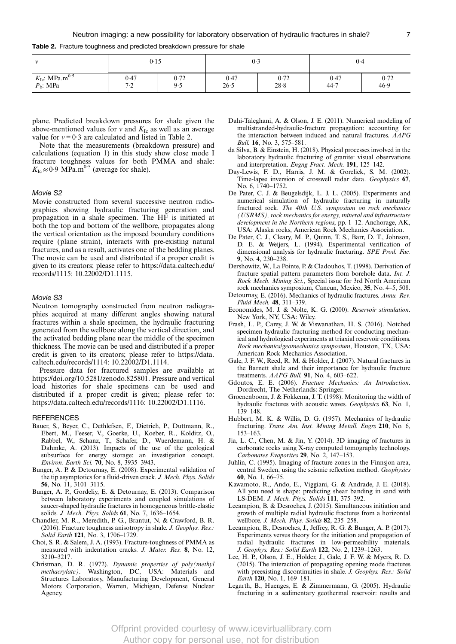<span id="page-6-0"></span>Table 2. Fracture toughness and predicted breakdown pressure for shale

| 11                                                          | 0.15             |             | 0.3          |              | 0.4          |              |
|-------------------------------------------------------------|------------------|-------------|--------------|--------------|--------------|--------------|
| $K_{\text{Ic}}$ : MPa.m <sup>0.5</sup><br>$P_{\rm b}$ : MPa | 0.47<br>7.2<br>∼ | 0.72<br>9.5 | 0.47<br>26.5 | 0.72<br>28.8 | 0.47<br>44.7 | 0.72<br>46.9 |

plane. Predicted breakdown pressures for shale given the above-mentioned values for  $v$  and  $K_{\text{Ic}}$  as well as an average value for  $v = 0.3$  are calculated and listed in Table 2.

Note that the measurements (breakdown pressure) and calculations [\(equation 1\)](#page-5-0) in this study show close mode I fracture toughness values for both PMMA and shale:  $K_{\text{Ic}} \approx 0.9 \text{ MPa.m}^{0.5}$  (average for shale).

# Movie S2

Movie constructed from several successive neutron radiographies showing hydraulic fracturing generation and propagation in a shale specimen. The HF is initiated at both the top and bottom of the wellbore, propagates along the vertical orientation as the imposed boundary conditions require (plane strain), interacts with pre-existing natural fractures, and as a result, activates one of the bedding planes. The movie can be used and distributed if a proper credit is given to its creators; please refer to [https://data.caltech.edu/](https://data.caltech.edu/records/1115: 10.22002/D1.1115) [records/1115: 10.22002/D1.1115.](https://data.caltech.edu/records/1115: 10.22002/D1.1115)

#### Movie S3

Neutron tomography constructed from neutron radiographies acquired at many different angles showing natural fractures within a shale specimen, the hydraulic fracturing generated from the wellbore along the vertical direction, and the activated bedding plane near the middle of the specimen thickness. The movie can be used and distributed if a proper credit is given to its creators; please refer to [https://data.](https://data.caltech.edu/records/1114: 10.22002/D1.1114) [caltech.edu/records/1114: 10.22002/D1.1114](https://data.caltech.edu/records/1114: 10.22002/D1.1114).

Pressure data for fractured samples are available at [https://doi.org/10.5281/zenodo.825801.](https://doi.org/10.5281/zenodo.825801) Pressure and vertical load histories for shale specimens can be used and distributed if a proper credit is given; please refer to: [https://data.caltech.edu/records/1116: 10.22002/D1.1116.](https://data.caltech.edu/records/1116: 10.22002/D1.1116)

# **REFERENCES**

- Bauer, S., Beyer, C., Dethlefsen, F., Dietrich, P., Duttmann, R., Ebert, M., Feeser, V., Goerke, U., Koeber, R., Kolditz, O., Rabbel, W., Schanz, T., Schafer, D., Wuerdemann, H. & Dahmke, A. (2013). Impacts of the use of the geological subsurface for energy storage: an investigation concept. Environ. Earth Sci. 70, No. 8, 3935–3943.
- Bunger, A. P. & Detournay, E. (2008). Experimental validation of the tip asymptotics for a fluid-driven crack. J. Mech. Phys. Solids 56, No. 11, 3101–3115.
- Bunger, A. P., Gordeliy, E. & Detournay, E. (2013). Comparison between laboratory experiments and coupled simulations of saucer-shaped hydraulic fractures in homogeneous brittle-elastic solids. J. Mech. Phys. Solids 61, No. 7, 1636–1654.
- Chandler, M. R., Meredith, P. G., Brantut, N. & Crawford, B. R. (2016). Fracture toughness anisotropy in shale. J. Geophys. Res.: Solid Earth 121, No. 3, 1706–1729.
- Choi, S. R. & Salem, J. A. (1993). Fracture-toughness of PMMA as measured with indentation cracks. J. Mater. Res. 8, No. 12, 3210–3217.
- Christman, D. R. (1972). Dynamic properties of poly(methyl methacrylate). Washington, DC, USA: Materials and Structures Laboratory, Manufacturing Development, General Motors Corporation, Warren, Michigan, Defense Nuclear Agency.

Dahi-Taleghani, A. & Olson, J. E. (2011). Numerical modeling of multistranded-hydraulic-fracture propagation: accounting for the interaction between induced and natural fractures. AAPG *Bull.* **16**, No. 3, 575–581.

- da Silva, B. & Einstein, H. (2018). Physical processes involved in the laboratory hydraulic fracturing of granite: visual observations and interpretation. Engng Fract. Mech. 191, 125–142.
- Day-Lewis, F. D., Harris, J. M. & Gorelick, S. M. (2002). Time-lapse inversion of crosswell radar data. Geophysics 67, No. 6, 1740–1752.
- De Pater, C. J. & Beugelsdijk, L. J. L. (2005). Experiments and numerical simulation of hydraulic fracturing in naturally fractured rock. The 40th U.S. symposium on rock mechanics (USRMS), rock mechanics for energy, mineral and infrastructure development in the Northern regions, pp. 1–12. Anchorage, AK, USA: Alaska rocks, American Rock Mechanics Association.
- De Pater, C. J., Cleary, M. P., Quinn, T. S., Barr, D. T., Johnson, D. E. & Weijers, L. (1994). Experimental verification of dimensional analysis for hydraulic fracturing. SPE Prod. Fac. 9, No. 4, 230–238.
- Dershowitz, W., La Pointe, P. & Cladouhos, T. (1998). Derivation of fracture spatial pattern parameters from borehole data. Int. J. Rock Mech. Mining Sci., Special issue for 3rd North American rock mechanics symposium, Cancun, Mexico, 35, No. 4–5, 508.
- Detournay, E. (2016). Mechanics of hydraulic fractures. Annu. Rev. Fluid Mech. 48, 311–339.
- Economides, M. J. & Nolte, K. G. (2000). Reservoir stimulation. New York, NY, USA: Wiley.
- Frash, L. P., Carey, J. W. & Viswanathan, H. S. (2016). Notched specimen hydraulic fracturing method for conducting mechanical and hydrological experiments at triaxial reservoir conditions. Rock mechanics/geomechanics symposium, Houston, TX, USA: American Rock Mechanics Association.
- Gale, J. F. W., Reed, R. M. & Holder, J. (2007). Natural fractures in the Barnett shale and their importance for hydraulic fracture treatments. AAPG Bull. 91, No. 4, 603–622.
- Gdoutos, E. E. (2006). Fracture Mechanics: An Introduction. Dordrecht, The Netherlands: Springer.
- Groenenboom, J. & Fokkema, J. T. (1998). Monitoring the width of hydraulic fractures with acoustic waves. Geophysics 63, No. 1, 139–148.
- Hubbert, M. K. & Willis, D. G. (1957). Mechanics of hydraulic fracturing. Trans. Am. Inst. Mining Metall. Engrs 210, No. 6, 153–163.
- Jia, L. C., Chen, M. & Jin, Y. (2014). 3D imaging of fractures in carbonate rocks using X-ray computed tomography technology. Carbonates Evaporites 29, No. 2, 147–153.
- Juhlin, C. (1995). Imaging of fracture zones in the Finnsjon area, central Sweden, using the seismic reflection method. Geophysics 60, No. 1, 66–75.
- Kawamoto, R., Ando, E., Viggiani, G. & Andrade, J. E. (2018). All you need is shape: predicting shear banding in sand with LS-DEM. J. Mech. Phys. Solids 111, 375–392.
- Lecampion, B. & Desroches, J. (2015). Simultaneous initiation and growth of multiple radial hydraulic fractures from a horizontal wellbore. J. Mech. Phys. Solids 82, 235-258.
- Lecampion, B., Desroches, J., Jeffrey, R. G. & Bunger, A. P. (2017). Experiments versus theory for the initiation and propagation of radial hydraulic fractures in low-permeability materials. J. Geophys. Res.: Solid Earth 122, No. 2, 1239–1263.
- Lee, H. P., Olson, J. E., Holder, J., Gale, J. F. W. & Myers, R. D. (2015). The interaction of propagating opening mode fractures with preexisting discontinuities in shale. J. Geophys. Res.: Solid Earth 120, No. 1, 169–181.
- Legarth, B., Huenges, E. & Zimmermann, G. (2005). Hydraulic fracturing in a sedimentary geothermal reservoir: results and